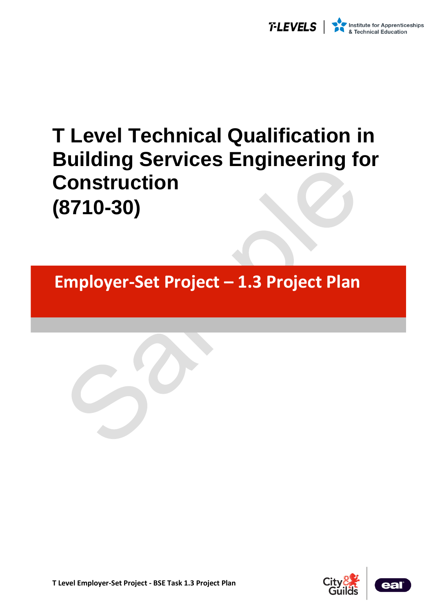

# **T Level Technical Qualification in Building Services Engineering for Construction (8710-30)**

**Employer-Set Project – 1.3 Project Plan** 

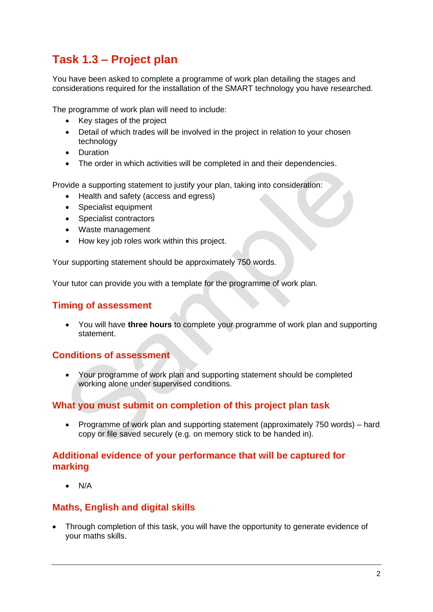## **Task 1.3 – Project plan**

You have been asked to complete a programme of work plan detailing the stages and considerations required for the installation of the SMART technology you have researched.

The programme of work plan will need to include:

- Key stages of the project
- Detail of which trades will be involved in the project in relation to your chosen technology
- Duration
- The order in which activities will be completed in and their dependencies.

Provide a supporting statement to justify your plan, taking into consideration:

- Health and safety (access and egress)
- Specialist equipment
- Specialist contractors
- Waste management
- How key job roles work within this project.

Your supporting statement should be approximately 750 words.

Your tutor can provide you with a template for the programme of work plan.

#### **Timing of assessment**

• You will have **three hours** to complete your programme of work plan and supporting statement.

### **Conditions of assessment**

• Your programme of work plan and supporting statement should be completed working alone under supervised conditions.

### **What you must submit on completion of this project plan task**

• Programme of work plan and supporting statement (approximately 750 words) – hard copy or file saved securely (e.g. on memory stick to be handed in).

### **Additional evidence of your performance that will be captured for marking**

• N/A

### **Maths, English and digital skills**

• Through completion of this task, you will have the opportunity to generate evidence of your maths skills.